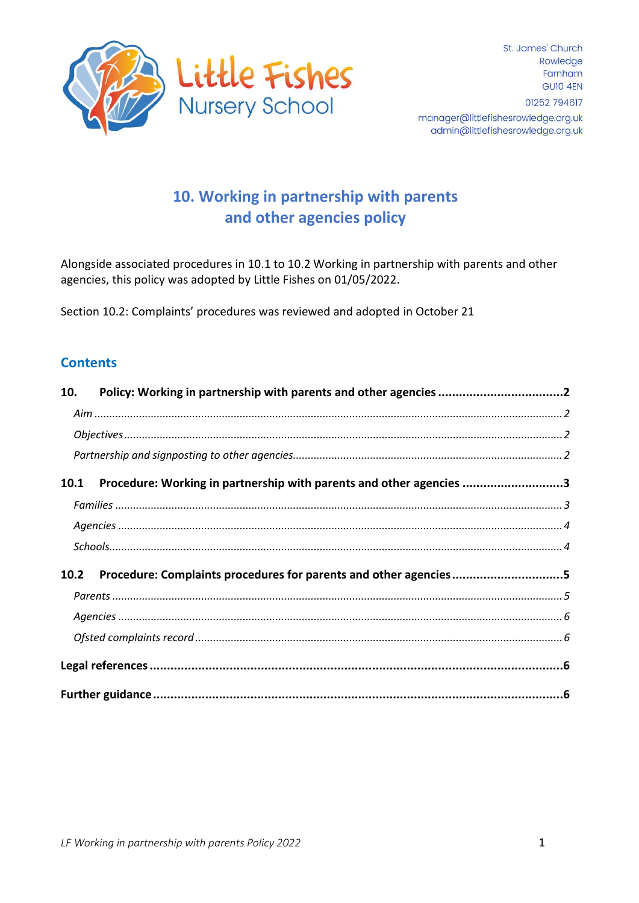

# 10. Working in partnership with parents and other agencies policy

Alongside associated procedures in 10.1 to 10.2 Working in partnership with parents and other agencies, this policy was adopted by Little Fishes on 01/05/2022.

Section 10.2: Complaints' procedures was reviewed and adopted in October 21

#### **Contents**

| 10. |                                                                          |  |  |  |
|-----|--------------------------------------------------------------------------|--|--|--|
|     |                                                                          |  |  |  |
|     |                                                                          |  |  |  |
|     |                                                                          |  |  |  |
|     | 10.1 Procedure: Working in partnership with parents and other agencies 3 |  |  |  |
|     |                                                                          |  |  |  |
|     |                                                                          |  |  |  |
|     |                                                                          |  |  |  |
|     | 10.2 Procedure: Complaints procedures for parents and other agencies5    |  |  |  |
|     |                                                                          |  |  |  |
|     |                                                                          |  |  |  |
|     |                                                                          |  |  |  |
|     |                                                                          |  |  |  |
|     |                                                                          |  |  |  |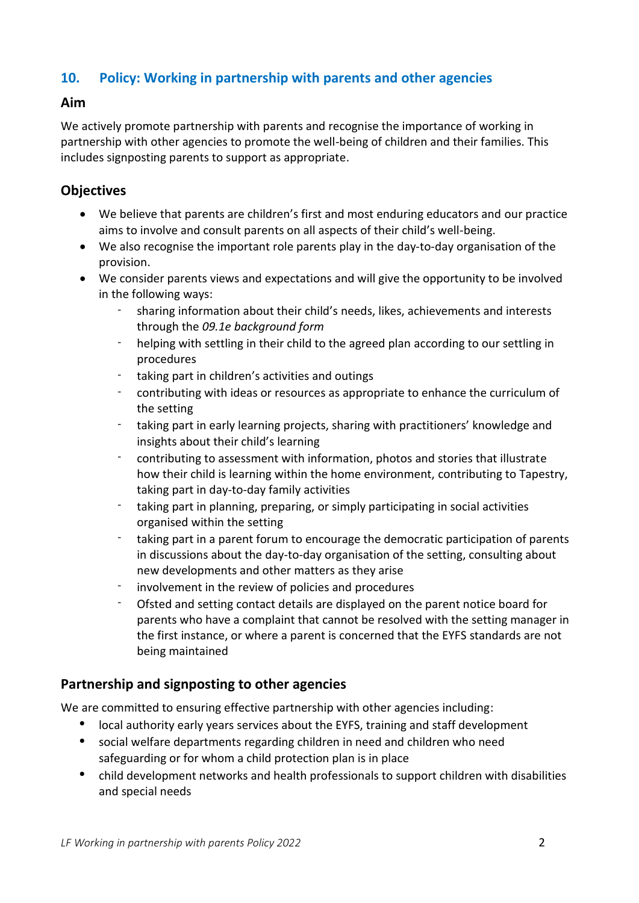# <span id="page-1-0"></span>**10. Policy: Working in partnership with parents and other agencies**

#### <span id="page-1-1"></span>**Aim**

We actively promote partnership with parents and recognise the importance of working in partnership with other agencies to promote the well-being of children and their families. This includes signposting parents to support as appropriate.

## <span id="page-1-2"></span>**Objectives**

- We believe that parents are children's first and most enduring educators and our practice aims to involve and consult parents on all aspects of their child's well-being.
- We also recognise the important role parents play in the day-to-day organisation of the provision.
- We consider parents views and expectations and will give the opportunity to be involved in the following ways:
	- sharing information about their child's needs, likes, achievements and interests through the *09.1e background form*
	- helping with settling in their child to the agreed plan according to our settling in procedures
	- taking part in children's activities and outings
	- contributing with ideas or resources as appropriate to enhance the curriculum of the setting
	- taking part in early learning projects, sharing with practitioners' knowledge and insights about their child's learning
	- contributing to assessment with information, photos and stories that illustrate how their child is learning within the home environment, contributing to Tapestry, taking part in day-to-day family activities
	- taking part in planning, preparing, or simply participating in social activities organised within the setting
	- taking part in a parent forum to encourage the democratic participation of parents in discussions about the day-to-day organisation of the setting, consulting about new developments and other matters as they arise
	- involvement in the review of policies and procedures
	- Ofsted and setting contact details are displayed on the parent notice board for parents who have a complaint that cannot be resolved with the setting manager in the first instance, or where a parent is concerned that the EYFS standards are not being maintained

### <span id="page-1-3"></span>**Partnership and signposting to other agencies**

We are committed to ensuring effective partnership with other agencies including:

- local authority early years services about the EYFS, training and staff development
- social welfare departments regarding children in need and children who need safeguarding or for whom a child protection plan is in place
- child development networks and health professionals to support children with disabilities and special needs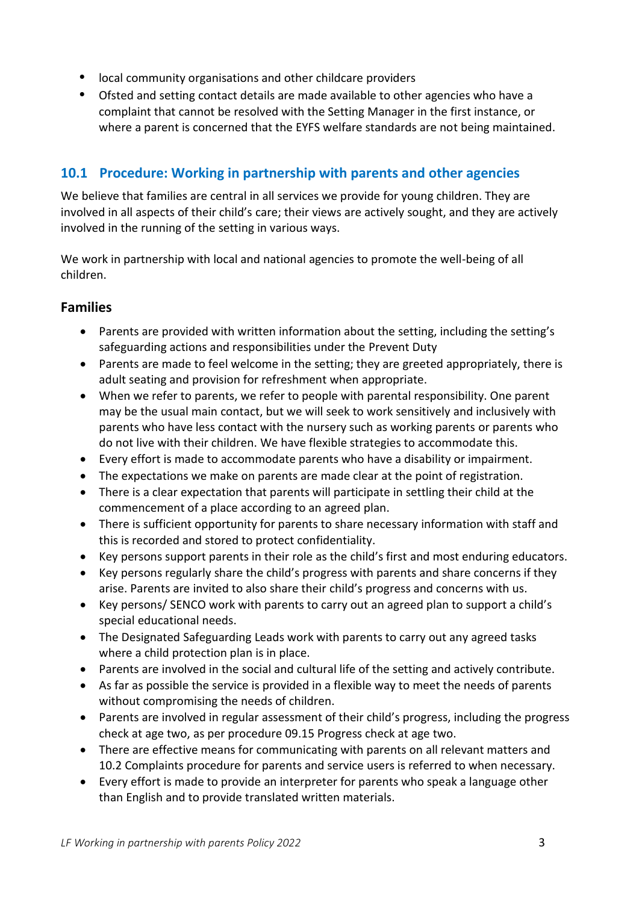- local community organisations and other childcare providers
- Ofsted and setting contact details are made available to other agencies who have a complaint that cannot be resolved with the Setting Manager in the first instance, or where a parent is concerned that the EYFS welfare standards are not being maintained.

# <span id="page-2-0"></span>**10.1 Procedure: Working in partnership with parents and other agencies**

We believe that families are central in all services we provide for young children. They are involved in all aspects of their child's care; their views are actively sought, and they are actively involved in the running of the setting in various ways.

We work in partnership with local and national agencies to promote the well-being of all children.

# <span id="page-2-1"></span>**Families**

- Parents are provided with written information about the setting, including the setting's safeguarding actions and responsibilities under the Prevent Duty
- Parents are made to feel welcome in the setting; they are greeted appropriately, there is adult seating and provision for refreshment when appropriate.
- When we refer to parents, we refer to people with parental responsibility. One parent may be the usual main contact, but we will seek to work sensitively and inclusively with parents who have less contact with the nursery such as working parents or parents who do not live with their children. We have flexible strategies to accommodate this.
- Every effort is made to accommodate parents who have a disability or impairment.
- The expectations we make on parents are made clear at the point of registration.
- There is a clear expectation that parents will participate in settling their child at the commencement of a place according to an agreed plan.
- There is sufficient opportunity for parents to share necessary information with staff and this is recorded and stored to protect confidentiality.
- Key persons support parents in their role as the child's first and most enduring educators.
- Key persons regularly share the child's progress with parents and share concerns if they arise. Parents are invited to also share their child's progress and concerns with us.
- Key persons/ SENCO work with parents to carry out an agreed plan to support a child's special educational needs.
- The Designated Safeguarding Leads work with parents to carry out any agreed tasks where a child protection plan is in place.
- Parents are involved in the social and cultural life of the setting and actively contribute.
- As far as possible the service is provided in a flexible way to meet the needs of parents without compromising the needs of children.
- Parents are involved in regular assessment of their child's progress, including the progress check at age two, as per procedure 09.15 Progress check at age two.
- There are effective means for communicating with parents on all relevant matters and 10.2 Complaints procedure for parents and service users is referred to when necessary.
- Every effort is made to provide an interpreter for parents who speak a language other than English and to provide translated written materials.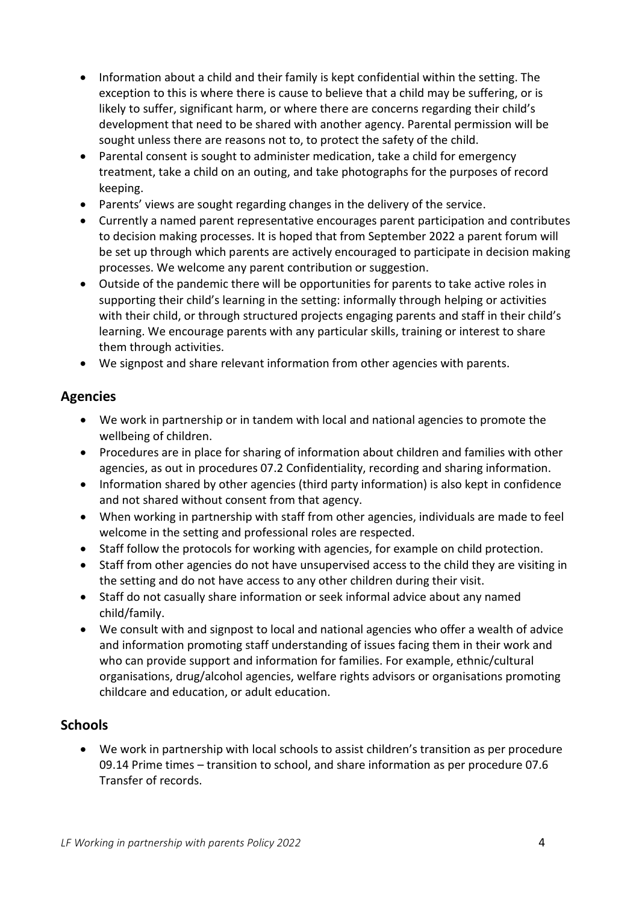- Information about a child and their family is kept confidential within the setting. The exception to this is where there is cause to believe that a child may be suffering, or is likely to suffer, significant harm, or where there are concerns regarding their child's development that need to be shared with another agency. Parental permission will be sought unless there are reasons not to, to protect the safety of the child.
- Parental consent is sought to administer medication, take a child for emergency treatment, take a child on an outing, and take photographs for the purposes of record keeping.
- Parents' views are sought regarding changes in the delivery of the service.
- Currently a named parent representative encourages parent participation and contributes to decision making processes. It is hoped that from September 2022 a parent forum will be set up through which parents are actively encouraged to participate in decision making processes. We welcome any parent contribution or suggestion.
- Outside of the pandemic there will be opportunities for parents to take active roles in supporting their child's learning in the setting: informally through helping or activities with their child, or through structured projects engaging parents and staff in their child's learning. We encourage parents with any particular skills, training or interest to share them through activities.
- We signpost and share relevant information from other agencies with parents.

#### <span id="page-3-0"></span>**Agencies**

- We work in partnership or in tandem with local and national agencies to promote the wellbeing of children.
- Procedures are in place for sharing of information about children and families with other agencies, as out in procedures 07.2 Confidentiality, recording and sharing information.
- Information shared by other agencies (third party information) is also kept in confidence and not shared without consent from that agency.
- When working in partnership with staff from other agencies, individuals are made to feel welcome in the setting and professional roles are respected.
- Staff follow the protocols for working with agencies, for example on child protection.
- Staff from other agencies do not have unsupervised access to the child they are visiting in the setting and do not have access to any other children during their visit.
- Staff do not casually share information or seek informal advice about any named child/family.
- We consult with and signpost to local and national agencies who offer a wealth of advice and information promoting staff understanding of issues facing them in their work and who can provide support and information for families. For example, ethnic/cultural organisations, drug/alcohol agencies, welfare rights advisors or organisations promoting childcare and education, or adult education.

#### <span id="page-3-1"></span>**Schools**

• We work in partnership with local schools to assist children's transition as per procedure 09.14 Prime times – transition to school, and share information as per procedure 07.6 Transfer of records.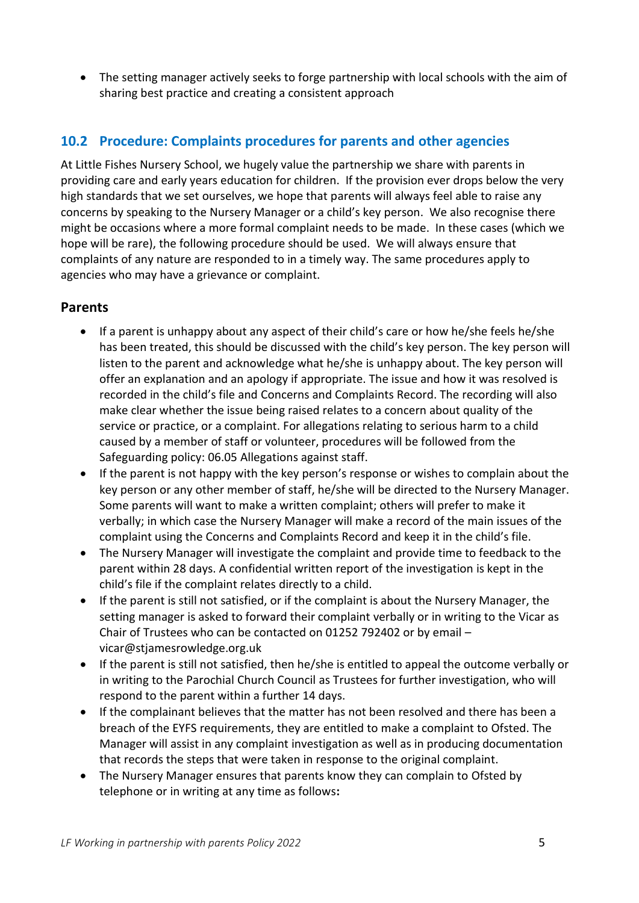• The setting manager actively seeks to forge partnership with local schools with the aim of sharing best practice and creating a consistent approach

# <span id="page-4-0"></span>**10.2 Procedure: Complaints procedures for parents and other agencies**

At Little Fishes Nursery School, we hugely value the partnership we share with parents in providing care and early years education for children. If the provision ever drops below the very high standards that we set ourselves, we hope that parents will always feel able to raise any concerns by speaking to the Nursery Manager or a child's key person. We also recognise there might be occasions where a more formal complaint needs to be made. In these cases (which we hope will be rare), the following procedure should be used. We will always ensure that complaints of any nature are responded to in a timely way. The same procedures apply to agencies who may have a grievance or complaint.

#### <span id="page-4-1"></span>**Parents**

- If a parent is unhappy about any aspect of their child's care or how he/she feels he/she has been treated, this should be discussed with the child's key person. The key person will listen to the parent and acknowledge what he/she is unhappy about. The key person will offer an explanation and an apology if appropriate. The issue and how it was resolved is recorded in the child's file and Concerns and Complaints Record. The recording will also make clear whether the issue being raised relates to a concern about quality of the service or practice, or a complaint. For allegations relating to serious harm to a child caused by a member of staff or volunteer, procedures will be followed from the Safeguarding policy: 06.05 Allegations against staff.
- If the parent is not happy with the key person's response or wishes to complain about the key person or any other member of staff, he/she will be directed to the Nursery Manager. Some parents will want to make a written complaint; others will prefer to make it verbally; in which case the Nursery Manager will make a record of the main issues of the complaint using the Concerns and Complaints Record and keep it in the child's file.
- The Nursery Manager will investigate the complaint and provide time to feedback to the parent within 28 days. A confidential written report of the investigation is kept in the child's file if the complaint relates directly to a child.
- If the parent is still not satisfied, or if the complaint is about the Nursery Manager, the setting manager is asked to forward their complaint verbally or in writing to the Vicar as Chair of Trustees who can be contacted on 01252 792402 or by email – vicar@stjamesrowledge.org.uk
- If the parent is still not satisfied, then he/she is entitled to appeal the outcome verbally or in writing to the Parochial Church Council as Trustees for further investigation, who will respond to the parent within a further 14 days.
- If the complainant believes that the matter has not been resolved and there has been a breach of the EYFS requirements, they are entitled to make a complaint to Ofsted. The Manager will assist in any complaint investigation as well as in producing documentation that records the steps that were taken in response to the original complaint.
- The Nursery Manager ensures that parents know they can complain to Ofsted by telephone or in writing at any time as follows**:**